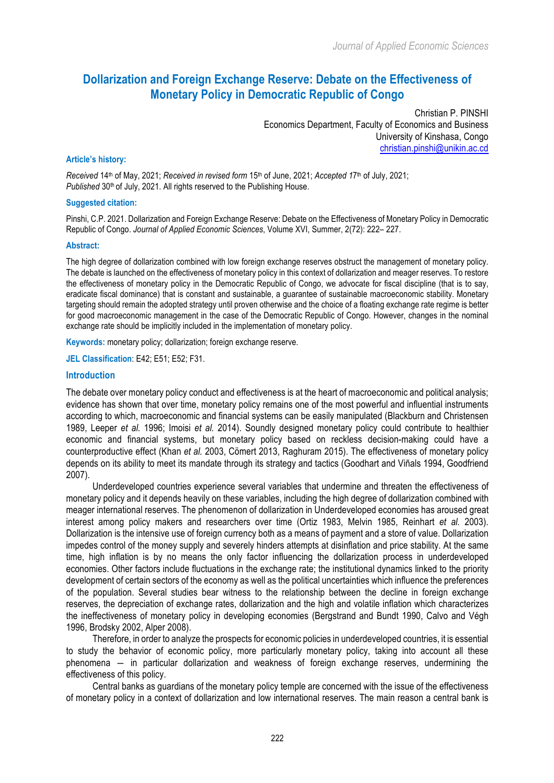# **Dollarization and Foreign Exchange Reserve: Debate on the Effectiveness of Monetary Policy in Democratic Republic of Congo**

Christian P. PINSHI Economics Department, Faculty of Economics and Business University of Kinshasa, Congo christian.pinshi@unikin.ac.cd

#### **Article's history:**

*Received* 14th of May, 2021; *Received in revised form* 15th of June, 2021; *Accepted 1*7th of July, 2021; Published 30<sup>th</sup> of July, 2021. All rights reserved to the Publishing House.

#### **Suggested citation:**

Pinshi, C.P. 2021. Dollarization and Foreign Exchange Reserve: Debate on the Effectiveness of Monetary Policy in Democratic Republic of Congo. *Journal of Applied Economic Sciences*, Volume XVI, Summer, 2(72): 222– 227.

#### **Abstract:**

The high degree of dollarization combined with low foreign exchange reserves obstruct the management of monetary policy. The debate is launched on the effectiveness of monetary policy in this context of dollarization and meager reserves. To restore the effectiveness of monetary policy in the Democratic Republic of Congo, we advocate for fiscal discipline (that is to say, eradicate fiscal dominance) that is constant and sustainable, a guarantee of sustainable macroeconomic stability. Monetary targeting should remain the adopted strategy until proven otherwise and the choice of a floating exchange rate regime is better for good macroeconomic management in the case of the Democratic Republic of Congo. However, changes in the nominal exchange rate should be implicitly included in the implementation of monetary policy.

**Keywords:** monetary policy; dollarization; foreign exchange reserve.

**JEL Classification**: E42; E51; E52; F31.

#### **Introduction**

The debate over monetary policy conduct and effectiveness is at the heart of macroeconomic and political analysis; evidence has shown that over time, monetary policy remains one of the most powerful and influential instruments according to which, macroeconomic and financial systems can be easily manipulated (Blackburn and Christensen 1989, Leeper *et al.* 1996; Imoisi *et al.* 2014). Soundly designed monetary policy could contribute to healthier economic and financial systems, but monetary policy based on reckless decision-making could have a counterproductive effect (Khan *et al.* 2003, Cömert 2013, Raghuram 2015). The effectiveness of monetary policy depends on its ability to meet its mandate through its strategy and tactics (Goodhart and Viñals 1994, Goodfriend 2007).

Underdeveloped countries experience several variables that undermine and threaten the effectiveness of monetary policy and it depends heavily on these variables, including the high degree of dollarization combined with meager international reserves. The phenomenon of dollarization in Underdeveloped economies has aroused great interest among policy makers and researchers over time (Ortiz 1983, Melvin 1985, Reinhart *et al.* 2003). Dollarization is the intensive use of foreign currency both as a means of payment and a store of value. Dollarization impedes control of the money supply and severely hinders attempts at disinflation and price stability. At the same time, high inflation is by no means the only factor influencing the dollarization process in underdeveloped economies. Other factors include fluctuations in the exchange rate; the institutional dynamics linked to the priority development of certain sectors of the economy as well as the political uncertainties which influence the preferences of the population. Several studies bear witness to the relationship between the decline in foreign exchange reserves, the depreciation of exchange rates, dollarization and the high and volatile inflation which characterizes the ineffectiveness of monetary policy in developing economies (Bergstrand and Bundt 1990, Calvo and Végh 1996, Brodsky 2002, Alper 2008).

Therefore, in order to analyze the prospects for economic policies in underdeveloped countries, it is essential to study the behavior of economic policy, more particularly monetary policy, taking into account all these phenomena ― in particular dollarization and weakness of foreign exchange reserves, undermining the effectiveness of this policy.

Central banks as guardians of the monetary policy temple are concerned with the issue of the effectiveness of monetary policy in a context of dollarization and low international reserves. The main reason a central bank is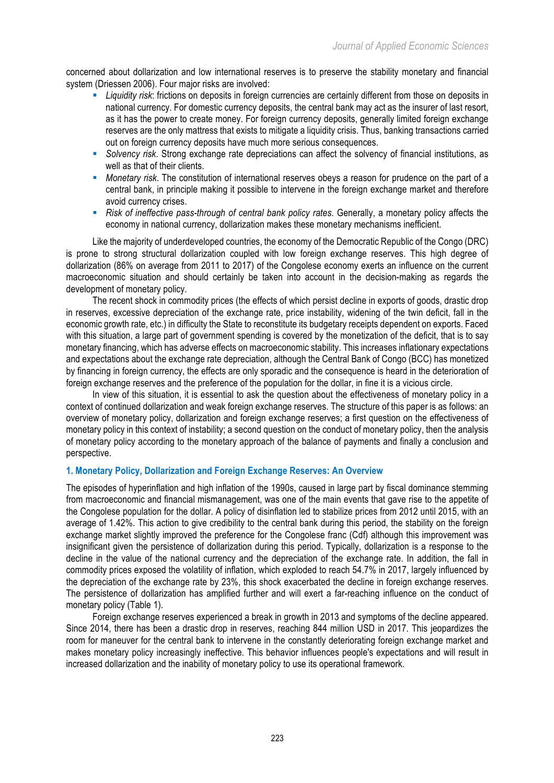concerned about dollarization and low international reserves is to preserve the stability monetary and financial system (Driessen 2006). Four major risks are involved:

- § *Liquidity risk*: frictions on deposits in foreign currencies are certainly different from those on deposits in national currency. For domestic currency deposits, the central bank may act as the insurer of last resort, as it has the power to create money. For foreign currency deposits, generally limited foreign exchange reserves are the only mattress that exists to mitigate a liquidity crisis. Thus, banking transactions carried out on foreign currency deposits have much more serious consequences.
- § *Solvency risk*. Strong exchange rate depreciations can affect the solvency of financial institutions, as well as that of their clients.
- § *Monetary risk*. The constitution of international reserves obeys a reason for prudence on the part of a central bank, in principle making it possible to intervene in the foreign exchange market and therefore avoid currency crises.
- § *Risk of ineffective pass-through of central bank policy rates*. Generally, a monetary policy affects the economy in national currency, dollarization makes these monetary mechanisms inefficient.

Like the majority of underdeveloped countries, the economy of the Democratic Republic of the Congo (DRC) is prone to strong structural dollarization coupled with low foreign exchange reserves. This high degree of dollarization (86% on average from 2011 to 2017) of the Congolese economy exerts an influence on the current macroeconomic situation and should certainly be taken into account in the decision-making as regards the development of monetary policy.

The recent shock in commodity prices (the effects of which persist decline in exports of goods, drastic drop in reserves, excessive depreciation of the exchange rate, price instability, widening of the twin deficit, fall in the economic growth rate, etc.) in difficulty the State to reconstitute its budgetary receipts dependent on exports. Faced with this situation, a large part of government spending is covered by the monetization of the deficit, that is to say monetary financing, which has adverse effects on macroeconomic stability. This increases inflationary expectations and expectations about the exchange rate depreciation, although the Central Bank of Congo (BCC) has monetized by financing in foreign currency, the effects are only sporadic and the consequence is heard in the deterioration of foreign exchange reserves and the preference of the population for the dollar, in fine it is a vicious circle.

In view of this situation, it is essential to ask the question about the effectiveness of monetary policy in a context of continued dollarization and weak foreign exchange reserves. The structure of this paper is as follows: an overview of monetary policy, dollarization and foreign exchange reserves; a first question on the effectiveness of monetary policy in this context of instability; a second question on the conduct of monetary policy, then the analysis of monetary policy according to the monetary approach of the balance of payments and finally a conclusion and perspective.

## **1. Monetary Policy, Dollarization and Foreign Exchange Reserves: An Overview**

The episodes of hyperinflation and high inflation of the 1990s, caused in large part by fiscal dominance stemming from macroeconomic and financial mismanagement, was one of the main events that gave rise to the appetite of the Congolese population for the dollar. A policy of disinflation led to stabilize prices from 2012 until 2015, with an average of 1.42%. This action to give credibility to the central bank during this period, the stability on the foreign exchange market slightly improved the preference for the Congolese franc (Cdf) although this improvement was insignificant given the persistence of dollarization during this period. Typically, dollarization is a response to the decline in the value of the national currency and the depreciation of the exchange rate. In addition, the fall in commodity prices exposed the volatility of inflation, which exploded to reach 54.7% in 2017, largely influenced by the depreciation of the exchange rate by 23%, this shock exacerbated the decline in foreign exchange reserves. The persistence of dollarization has amplified further and will exert a far-reaching influence on the conduct of monetary policy (Table 1).

Foreign exchange reserves experienced a break in growth in 2013 and symptoms of the decline appeared. Since 2014, there has been a drastic drop in reserves, reaching 844 million USD in 2017. This jeopardizes the room for maneuver for the central bank to intervene in the constantly deteriorating foreign exchange market and makes monetary policy increasingly ineffective. This behavior influences people's expectations and will result in increased dollarization and the inability of monetary policy to use its operational framework.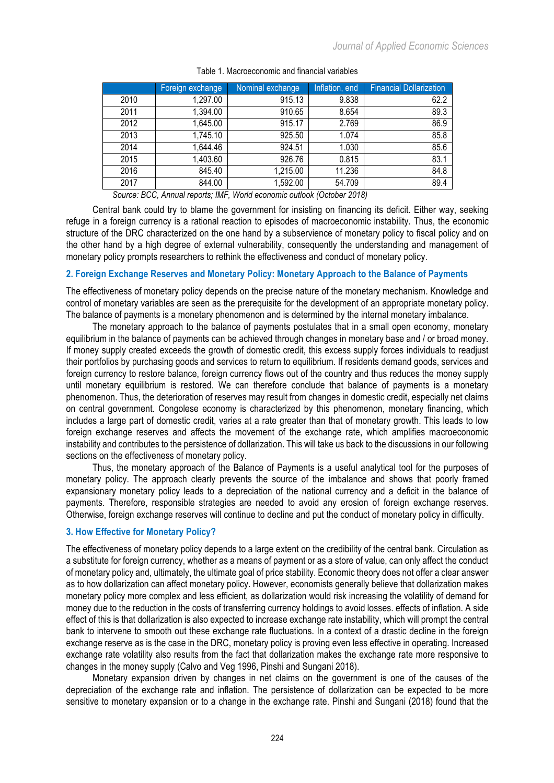|      | Foreign exchange | Nominal exchange | Inflation, end | <b>Financial Dollarization</b> |
|------|------------------|------------------|----------------|--------------------------------|
| 2010 | 1,297.00         | 915.13           | 9.838          | 62.2                           |
| 2011 | 1,394.00         | 910.65           | 8.654          | 89.3                           |
| 2012 | 1,645.00         | 915.17           | 2.769          | 86.9                           |
| 2013 | 1,745.10         | 925.50           | 1.074          | 85.8                           |
| 2014 | 1,644.46         | 924.51           | 1.030          | 85.6                           |
| 2015 | 1,403.60         | 926.76           | 0.815          | 83.1                           |
| 2016 | 845.40           | 1,215.00         | 11.236         | 84.8                           |
| 2017 | 844.00           | 1,592.00         | 54.709         | 89.4                           |
|      |                  |                  |                |                                |

Table 1. Macroeconomic and financial variables

*Source: BCC, Annual reports; IMF, World economic outlook (October 2018)*

Central bank could try to blame the government for insisting on financing its deficit. Either way, seeking refuge in a foreign currency is a rational reaction to episodes of macroeconomic instability. Thus, the economic structure of the DRC characterized on the one hand by a subservience of monetary policy to fiscal policy and on the other hand by a high degree of external vulnerability, consequently the understanding and management of monetary policy prompts researchers to rethink the effectiveness and conduct of monetary policy.

## **2. Foreign Exchange Reserves and Monetary Policy: Monetary Approach to the Balance of Payments**

The effectiveness of monetary policy depends on the precise nature of the monetary mechanism. Knowledge and control of monetary variables are seen as the prerequisite for the development of an appropriate monetary policy. The balance of payments is a monetary phenomenon and is determined by the internal monetary imbalance.

The monetary approach to the balance of payments postulates that in a small open economy, monetary equilibrium in the balance of payments can be achieved through changes in monetary base and / or broad money. If money supply created exceeds the growth of domestic credit, this excess supply forces individuals to readjust their portfolios by purchasing goods and services to return to equilibrium. If residents demand goods, services and foreign currency to restore balance, foreign currency flows out of the country and thus reduces the money supply until monetary equilibrium is restored. We can therefore conclude that balance of payments is a monetary phenomenon. Thus, the deterioration of reserves may result from changes in domestic credit, especially net claims on central government. Congolese economy is characterized by this phenomenon, monetary financing, which includes a large part of domestic credit, varies at a rate greater than that of monetary growth. This leads to low foreign exchange reserves and affects the movement of the exchange rate, which amplifies macroeconomic instability and contributes to the persistence of dollarization. This will take us back to the discussions in our following sections on the effectiveness of monetary policy.

Thus, the monetary approach of the Balance of Payments is a useful analytical tool for the purposes of monetary policy. The approach clearly prevents the source of the imbalance and shows that poorly framed expansionary monetary policy leads to a depreciation of the national currency and a deficit in the balance of payments. Therefore, responsible strategies are needed to avoid any erosion of foreign exchange reserves. Otherwise, foreign exchange reserves will continue to decline and put the conduct of monetary policy in difficulty.

## **3. How Effective for Monetary Policy?**

The effectiveness of monetary policy depends to a large extent on the credibility of the central bank. Circulation as a substitute for foreign currency, whether as a means of payment or as a store of value, can only affect the conduct of monetary policy and, ultimately, the ultimate goal of price stability. Economic theory does not offer a clear answer as to how dollarization can affect monetary policy. However, economists generally believe that dollarization makes monetary policy more complex and less efficient, as dollarization would risk increasing the volatility of demand for money due to the reduction in the costs of transferring currency holdings to avoid losses. effects of inflation. A side effect of this is that dollarization is also expected to increase exchange rate instability, which will prompt the central bank to intervene to smooth out these exchange rate fluctuations. In a context of a drastic decline in the foreign exchange reserve as is the case in the DRC, monetary policy is proving even less effective in operating. Increased exchange rate volatility also results from the fact that dollarization makes the exchange rate more responsive to changes in the money supply (Calvo and Veg 1996, Pinshi and Sungani 2018).

Monetary expansion driven by changes in net claims on the government is one of the causes of the depreciation of the exchange rate and inflation. The persistence of dollarization can be expected to be more sensitive to monetary expansion or to a change in the exchange rate. Pinshi and Sungani (2018) found that the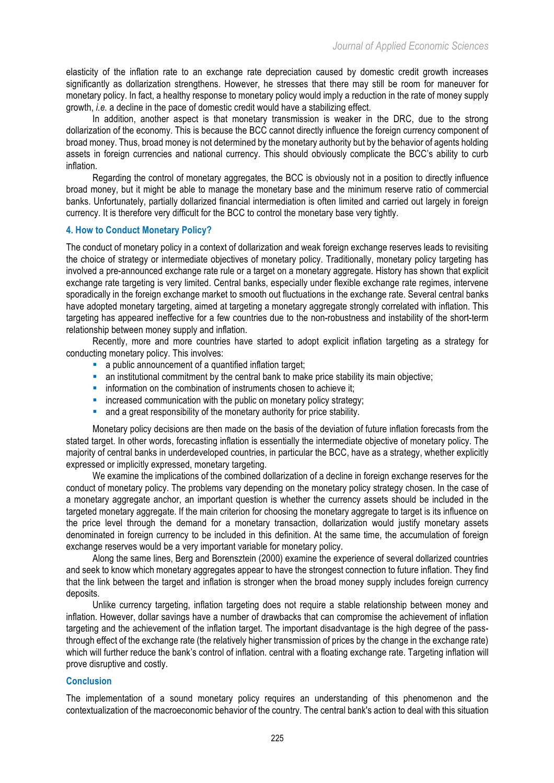elasticity of the inflation rate to an exchange rate depreciation caused by domestic credit growth increases significantly as dollarization strengthens. However, he stresses that there may still be room for maneuver for monetary policy. In fact, a healthy response to monetary policy would imply a reduction in the rate of money supply growth, *i.e.* a decline in the pace of domestic credit would have a stabilizing effect.

In addition, another aspect is that monetary transmission is weaker in the DRC, due to the strong dollarization of the economy. This is because the BCC cannot directly influence the foreign currency component of broad money. Thus, broad money is not determined by the monetary authority but by the behavior of agents holding assets in foreign currencies and national currency. This should obviously complicate the BCC's ability to curb inflation.

Regarding the control of monetary aggregates, the BCC is obviously not in a position to directly influence broad money, but it might be able to manage the monetary base and the minimum reserve ratio of commercial banks. Unfortunately, partially dollarized financial intermediation is often limited and carried out largely in foreign currency. It is therefore very difficult for the BCC to control the monetary base very tightly.

## **4. How to Conduct Monetary Policy?**

The conduct of monetary policy in a context of dollarization and weak foreign exchange reserves leads to revisiting the choice of strategy or intermediate objectives of monetary policy. Traditionally, monetary policy targeting has involved a pre-announced exchange rate rule or a target on a monetary aggregate. History has shown that explicit exchange rate targeting is very limited. Central banks, especially under flexible exchange rate regimes, intervene sporadically in the foreign exchange market to smooth out fluctuations in the exchange rate. Several central banks have adopted monetary targeting, aimed at targeting a monetary aggregate strongly correlated with inflation. This targeting has appeared ineffective for a few countries due to the non-robustness and instability of the short-term relationship between money supply and inflation.

Recently, more and more countries have started to adopt explicit inflation targeting as a strategy for conducting monetary policy. This involves:

- a public announcement of a quantified inflation target;
- an institutional commitment by the central bank to make price stability its main objective;
- information on the combination of instruments chosen to achieve it;
- **•** increased communication with the public on monetary policy strategy;
- and a great responsibility of the monetary authority for price stability.

Monetary policy decisions are then made on the basis of the deviation of future inflation forecasts from the stated target. In other words, forecasting inflation is essentially the intermediate objective of monetary policy. The majority of central banks in underdeveloped countries, in particular the BCC, have as a strategy, whether explicitly expressed or implicitly expressed, monetary targeting.

We examine the implications of the combined dollarization of a decline in foreign exchange reserves for the conduct of monetary policy. The problems vary depending on the monetary policy strategy chosen. In the case of a monetary aggregate anchor, an important question is whether the currency assets should be included in the targeted monetary aggregate. If the main criterion for choosing the monetary aggregate to target is its influence on the price level through the demand for a monetary transaction, dollarization would justify monetary assets denominated in foreign currency to be included in this definition. At the same time, the accumulation of foreign exchange reserves would be a very important variable for monetary policy.

Along the same lines, Berg and Borensztein (2000) examine the experience of several dollarized countries and seek to know which monetary aggregates appear to have the strongest connection to future inflation. They find that the link between the target and inflation is stronger when the broad money supply includes foreign currency deposits.

Unlike currency targeting, inflation targeting does not require a stable relationship between money and inflation. However, dollar savings have a number of drawbacks that can compromise the achievement of inflation targeting and the achievement of the inflation target. The important disadvantage is the high degree of the passthrough effect of the exchange rate (the relatively higher transmission of prices by the change in the exchange rate) which will further reduce the bank's control of inflation, central with a floating exchange rate. Targeting inflation will prove disruptive and costly.

## **Conclusion**

The implementation of a sound monetary policy requires an understanding of this phenomenon and the contextualization of the macroeconomic behavior of the country. The central bank's action to deal with this situation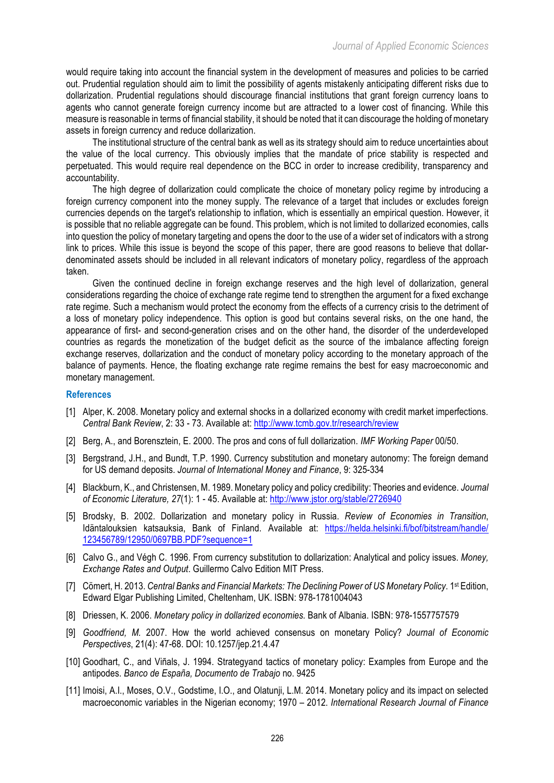would require taking into account the financial system in the development of measures and policies to be carried out. Prudential regulation should aim to limit the possibility of agents mistakenly anticipating different risks due to dollarization. Prudential regulations should discourage financial institutions that grant foreign currency loans to agents who cannot generate foreign currency income but are attracted to a lower cost of financing. While this measure is reasonable in terms of financial stability, it should be noted that it can discourage the holding of monetary assets in foreign currency and reduce dollarization.

The institutional structure of the central bank as well as its strategy should aim to reduce uncertainties about the value of the local currency. This obviously implies that the mandate of price stability is respected and perpetuated. This would require real dependence on the BCC in order to increase credibility, transparency and accountability.

The high degree of dollarization could complicate the choice of monetary policy regime by introducing a foreign currency component into the money supply. The relevance of a target that includes or excludes foreign currencies depends on the target's relationship to inflation, which is essentially an empirical question. However, it is possible that no reliable aggregate can be found. This problem, which is not limited to dollarized economies, calls into question the policy of monetary targeting and opens the door to the use of a wider set of indicators with a strong link to prices. While this issue is beyond the scope of this paper, there are good reasons to believe that dollardenominated assets should be included in all relevant indicators of monetary policy, regardless of the approach taken.

Given the continued decline in foreign exchange reserves and the high level of dollarization, general considerations regarding the choice of exchange rate regime tend to strengthen the argument for a fixed exchange rate regime. Such a mechanism would protect the economy from the effects of a currency crisis to the detriment of a loss of monetary policy independence. This option is good but contains several risks, on the one hand, the appearance of first- and second-generation crises and on the other hand, the disorder of the underdeveloped countries as regards the monetization of the budget deficit as the source of the imbalance affecting foreign exchange reserves, dollarization and the conduct of monetary policy according to the monetary approach of the balance of payments. Hence, the floating exchange rate regime remains the best for easy macroeconomic and monetary management.

#### **References**

- [1] Alper, K. 2008. Monetary policy and external shocks in a dollarized economy with credit market imperfections. *Central Bank Review*, 2: 33 - 73. Available at: http://www.tcmb.gov.tr/research/review
- [2] Berg, A., and Borensztein, E. 2000. The pros and cons of full dollarization. *IMF Working Paper* 00/50.
- [3] Bergstrand, J.H., and Bundt, T.P. 1990. Currency substitution and monetary autonomy: The foreign demand for US demand deposits. *Journal of International Money and Finance*, 9: 325-334
- [4] Blackburn, K., and Christensen, M. 1989. Monetary policy and policy credibility: Theories and evidence. *Journal of Economic Literature, 27*(1): 1 - 45. Available at: http://www.jstor.org/stable/2726940
- [5] Brodsky, B. 2002. Dollarization and monetary policy in Russia. *Review of Economies in Transition*, Idäntalouksien katsauksia, Bank of Finland. Available at: https://helda.helsinki.fi/bof/bitstream/handle/ 123456789/12950/0697BB.PDF?sequence=1
- [6] Calvo G., and Végh C. 1996. From currency substitution to dollarization: Analytical and policy issues. *Money, Exchange Rates and Output*. Guillermo Calvo Edition MIT Press.
- [7] Cömert, H. 2013. *Central Banks and Financial Markets: The Declining Power of US Monetary Policy*. 1st Edition, Edward Elgar Publishing Limited, Cheltenham, UK. ISBN: 978-1781004043
- [8] Driessen, K. 2006. *Monetary policy in dollarized economies.* Bank of Albania. ISBN: 978-1557757579
- [9] *Goodfriend, M.* 2007. How the world achieved consensus on monetary Policy? *Journal of Economic Perspectives*, 21(4): 47-68. DOI: 10.1257/jep.21.4.47
- [10] Goodhart, C., and Viñals, J. 1994. Strategyand tactics of monetary policy: Examples from Europe and the antipodes. *Banco de España, Documento de Trabajo* no. 9425
- [11] Imoisi, A.I., Moses, O.V., Godstime, I.O., and Olatunji, L.M. 2014. Monetary policy and its impact on selected macroeconomic variables in the Nigerian economy; 1970 – 2012. *International Research Journal of Finance*